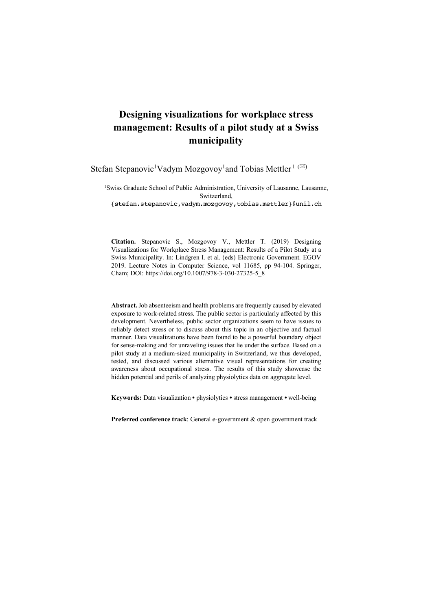# **Designing visualizations for workplace stress management: Results of a pilot study at a Swiss municipality**

Stefan Stepanovic<sup>1</sup>Vadym Mozgovoy<sup>1</sup>and Tobias Mettler<sup>1 ( $\textdegree$ )</sup>

<sup>1</sup>Swiss Graduate School of Public Administration, University of Lausanne, Lausanne, Switzerland, {stefan.stepanovic,vadym.mozgovoy,tobias.mettler}@unil.ch

**Citation.** Stepanovic S., Mozgovoy V., Mettler T. (2019) Designing Visualizations for Workplace Stress Management: Results of a Pilot Study at a Swiss Municipality. In: Lindgren I. et al. (eds) Electronic Government. EGOV 2019. Lecture Notes in Computer Science, vol 11685, pp 94-104. Springer, Cham; DOI: https://doi.org/10.1007/978-3-030-27325-5\_8

**Abstract.** Job absenteeism and health problems are frequently caused by elevated exposure to work-related stress. The public sector is particularly affected by this development. Nevertheless, public sector organizations seem to have issues to reliably detect stress or to discuss about this topic in an objective and factual manner. Data visualizations have been found to be a powerful boundary object for sense-making and for unraveling issues that lie under the surface. Based on a pilot study at a medium-sized municipality in Switzerland, we thus developed, tested, and discussed various alternative visual representations for creating awareness about occupational stress. The results of this study showcase the hidden potential and perils of analyzing physiolytics data on aggregate level.

**Keywords:** Data visualization **•** physiolytics **•** stress management **•** well-being

**Preferred conference track**: General e-government & open government track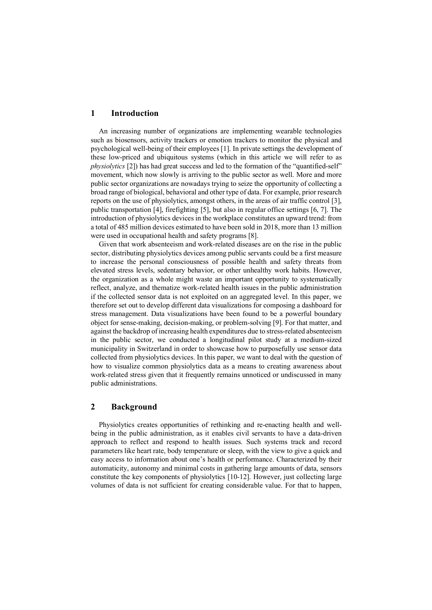# **1 Introduction**

An increasing number of organizations are implementing wearable technologies such as biosensors, activity trackers or emotion trackers to monitor the physical and psychological well-being of their employees [1]. In private settings the development of these low-priced and ubiquitous systems (which in this article we will refer to as *physiolytics* [2]) has had great success and led to the formation of the "quantified-self" movement, which now slowly is arriving to the public sector as well. More and more public sector organizations are nowadays trying to seize the opportunity of collecting a broad range of biological, behavioral and other type of data. For example, prior research reports on the use of physiolytics, amongst others, in the areas of air traffic control [3], public transportation [4], firefighting [5], but also in regular office settings [6, 7]. The introduction of physiolytics devices in the workplace constitutes an upward trend: from a total of 485 million devices estimated to have been sold in 2018, more than 13 million were used in occupational health and safety programs [8].

Given that work absenteeism and work-related diseases are on the rise in the public sector, distributing physiolytics devices among public servants could be a first measure to increase the personal consciousness of possible health and safety threats from elevated stress levels, sedentary behavior, or other unhealthy work habits. However, the organization as a whole might waste an important opportunity to systematically reflect, analyze, and thematize work-related health issues in the public administration if the collected sensor data is not exploited on an aggregated level. In this paper, we therefore set out to develop different data visualizations for composing a dashboard for stress management. Data visualizations have been found to be a powerful boundary object for sense-making, decision-making, or problem-solving [9]. For that matter, and against the backdrop of increasing health expenditures due to stress-related absenteeism in the public sector, we conducted a longitudinal pilot study at a medium-sized municipality in Switzerland in order to showcase how to purposefully use sensor data collected from physiolytics devices. In this paper, we want to deal with the question of how to visualize common physiolytics data as a means to creating awareness about work-related stress given that it frequently remains unnoticed or undiscussed in many public administrations.

# **2 Background**

Physiolytics creates opportunities of rethinking and re-enacting health and wellbeing in the public administration, as it enables civil servants to have a data-driven approach to reflect and respond to health issues. Such systems track and record parameters like heart rate, body temperature or sleep, with the view to give a quick and easy access to information about one's health or performance. Characterized by their automaticity, autonomy and minimal costs in gathering large amounts of data, sensors constitute the key components of physiolytics [10-12]. However, just collecting large volumes of data is not sufficient for creating considerable value. For that to happen,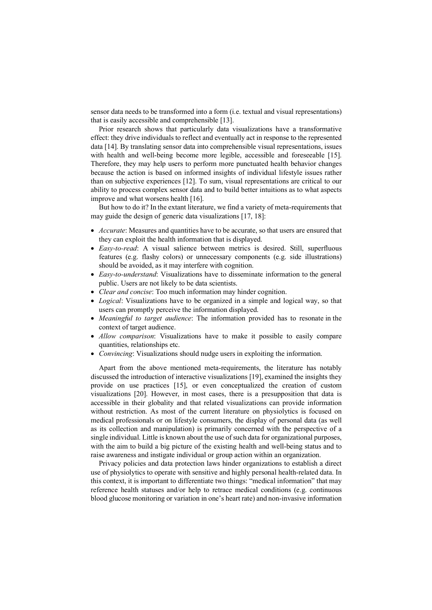sensor data needs to be transformed into a form (i.e. textual and visual representations) that is easily accessible and comprehensible [13].

Prior research shows that particularly data visualizations have a transformative effect: they drive individuals to reflect and eventually act in response to the represented data [14]. By translating sensor data into comprehensible visual representations, issues with health and well-being become more legible, accessible and foreseeable [15]. Therefore, they may help users to perform more punctuated health behavior changes because the action is based on informed insights of individual lifestyle issues rather than on subjective experiences [12]. To sum, visual representations are critical to our ability to process complex sensor data and to build better intuitions as to what aspects improve and what worsens health [16].

But how to do it? In the extant literature, we find a variety of meta-requirements that may guide the design of generic data visualizations [17, 18]:

- *Accurate*: Measures and quantities have to be accurate, so that users are ensured that they can exploit the health information that is displayed.
- *Easy-to-read*: A visual salience between metrics is desired. Still, superfluous features (e.g. flashy colors) or unnecessary components (e.g. side illustrations) should be avoided, as it may interfere with cognition.
- *Easy-to-understand*: Visualizations have to disseminate information to the general public. Users are not likely to be data scientists.
- *Clear and concise*: Too much information may hinder cognition.
- *Logical*: Visualizations have to be organized in a simple and logical way, so that users can promptly perceive the information displayed.
- *Meaningful to target audience*: The information provided has to resonate in the context of target audience.
- *Allow comparison*: Visualizations have to make it possible to easily compare quantities, relationships etc.
- *Convincing*: Visualizations should nudge users in exploiting the information.

Apart from the above mentioned meta-requirements, the literature has notably discussed the introduction of interactive visualizations [19], examined the insights they provide on use practices [15], or even conceptualized the creation of custom visualizations [20]. However, in most cases, there is a presupposition that data is accessible in their globality and that related visualizations can provide information without restriction. As most of the current literature on physiolytics is focused on medical professionals or on lifestyle consumers, the display of personal data (as well as its collection and manipulation) is primarily concerned with the perspective of a single individual. Little is known about the use of such data for organizational purposes, with the aim to build a big picture of the existing health and well-being status and to raise awareness and instigate individual or group action within an organization.

Privacy policies and data protection laws hinder organizations to establish a direct use of physiolytics to operate with sensitive and highly personal health-related data. In this context, it is important to differentiate two things: "medical information" that may reference health statuses and/or help to retrace medical conditions (e.g. continuous blood glucose monitoring or variation in one's heart rate) and non-invasive information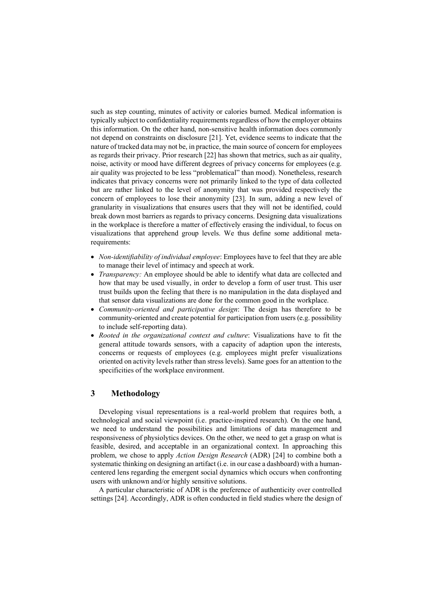such as step counting, minutes of activity or calories burned. Medical information is typically subject to confidentiality requirements regardless of how the employer obtains this information. On the other hand, non-sensitive health information does commonly not depend on constraints on disclosure [21]. Yet, evidence seems to indicate that the nature of tracked data may not be, in practice, the main source of concern for employees as regards their privacy. Prior research [22] has shown that metrics, such as air quality, noise, activity or mood have different degrees of privacy concerns for employees (e.g. air quality was projected to be less "problematical" than mood). Nonetheless, research indicates that privacy concerns were not primarily linked to the type of data collected but are rather linked to the level of anonymity that was provided respectively the concern of employees to lose their anonymity [23]. In sum, adding a new level of granularity in visualizations that ensures users that they will not be identified, could break down most barriers as regards to privacy concerns. Designing data visualizations in the workplace is therefore a matter of effectively erasing the individual, to focus on visualizations that apprehend group levels. We thus define some additional metarequirements:

- *Non-identifiability of individual employee*: Employees have to feel that they are able to manage their level of intimacy and speech at work.
- *Transparency:* An employee should be able to identify what data are collected and how that may be used visually, in order to develop a form of user trust. This user trust builds upon the feeling that there is no manipulation in the data displayed and that sensor data visualizations are done for the common good in the workplace.
- *Community-oriented and participative design*: The design has therefore to be community-oriented and create potential for participation from users (e.g. possibility to include self-reporting data).
- *Rooted in the organizational context and culture*: Visualizations have to fit the general attitude towards sensors, with a capacity of adaption upon the interests, concerns or requests of employees (e.g. employees might prefer visualizations oriented on activity levels rather than stress levels). Same goes for an attention to the specificities of the workplace environment.

# **3 Methodology**

Developing visual representations is a real-world problem that requires both, a technological and social viewpoint (i.e. practice-inspired research). On the one hand, we need to understand the possibilities and limitations of data management and responsiveness of physiolytics devices. On the other, we need to get a grasp on what is feasible, desired, and acceptable in an organizational context. In approaching this problem, we chose to apply *Action Design Research* (ADR) [24] to combine both a systematic thinking on designing an artifact (i.e. in our case a dashboard) with a humancentered lens regarding the emergent social dynamics which occurs when confronting users with unknown and/or highly sensitive solutions.

A particular characteristic of ADR is the preference of authenticity over controlled settings [24]. Accordingly, ADR is often conducted in field studies where the design of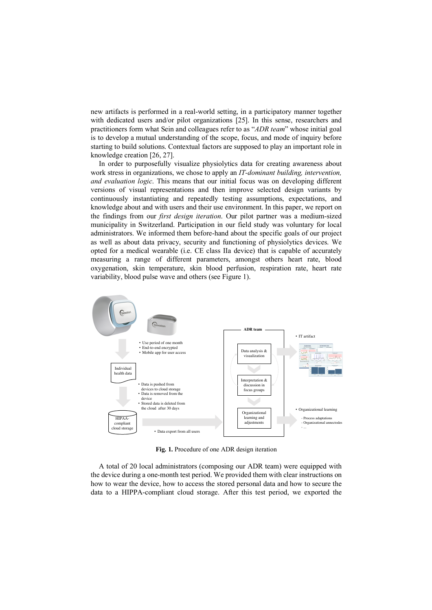new artifacts is performed in a real-world setting, in a participatory manner together with dedicated users and/or pilot organizations [25]. In this sense, researchers and practitioners form what Sein and colleagues refer to as "*ADR team*" whose initial goal is to develop a mutual understanding of the scope, focus, and mode of inquiry before starting to build solutions. Contextual factors are supposed to play an important role in knowledge creation [26, 27].

In order to purposefully visualize physiolytics data for creating awareness about work stress in organizations, we chose to apply an *IT-dominant building, intervention, and evaluation logic*. This means that our initial focus was on developing different versions of visual representations and then improve selected design variants by continuously instantiating and repeatedly testing assumptions, expectations, and knowledge about and with users and their use environment. In this paper, we report on the findings from our *first design iteration*. Our pilot partner was a medium-sized municipality in Switzerland. Participation in our field study was voluntary for local administrators. We informed them before-hand about the specific goals of our project as well as about data privacy, security and functioning of physiolytics devices. We opted for a medical wearable (i.e. CE class IIa device) that is capable of accurately measuring a range of different parameters, amongst others heart rate, blood oxygenation, skin temperature, skin blood perfusion, respiration rate, heart rate variability, blood pulse wave and others (see Figure 1).



**Fig. 1.** Procedure of one ADR design iteration

A total of 20 local administrators (composing our ADR team) were equipped with the device during a one-month test period. We provided them with clear instructions on how to wear the device, how to access the stored personal data and how to secure the data to a HIPPA-compliant cloud storage. After this test period, we exported the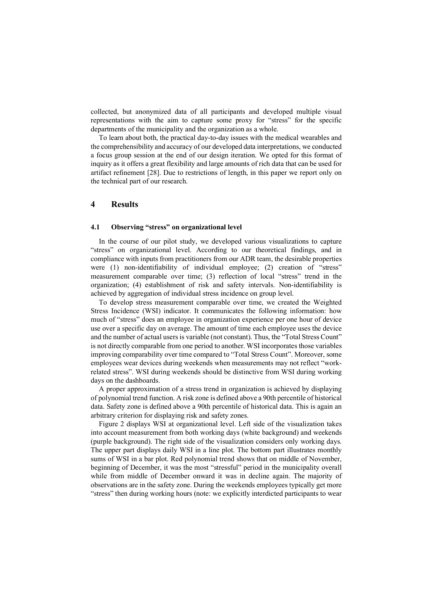collected, but anonymized data of all participants and developed multiple visual representations with the aim to capture some proxy for "stress" for the specific departments of the municipality and the organization as a whole.

To learn about both, the practical day-to-day issues with the medical wearables and the comprehensibility and accuracy of our developed data interpretations, we conducted a focus group session at the end of our design iteration. We opted for this format of inquiry as it offers a great flexibility and large amounts of rich data that can be used for artifact refinement [28]. Due to restrictions of length, in this paper we report only on the technical part of our research.

## **4 Results**

#### **4.1 Observing "stress" on organizational level**

In the course of our pilot study, we developed various visualizations to capture "stress" on organizational level. According to our theoretical findings, and in compliance with inputs from practitioners from our ADR team, the desirable properties were (1) non-identifiability of individual employee; (2) creation of "stress" measurement comparable over time; (3) reflection of local "stress" trend in the organization; (4) establishment of risk and safety intervals. Non-identifiability is achieved by aggregation of individual stress incidence on group level.

To develop stress measurement comparable over time, we created the Weighted Stress Incidence (WSI) indicator. It communicates the following information: how much of "stress" does an employee in organization experience per one hour of device use over a specific day on average. The amount of time each employee uses the device and the number of actual users is variable (not constant). Thus, the "Total Stress Count" is not directly comparable from one period to another. WSI incorporates those variables improving comparability over time compared to "Total Stress Count". Moreover, some employees wear devices during weekends when measurements may not reflect "workrelated stress". WSI during weekends should be distinctive from WSI during working days on the dashboards.

A proper approximation of a stress trend in organization is achieved by displaying of polynomial trend function. A risk zone is defined above a 90th percentile of historical data. Safety zone is defined above a 90th percentile of historical data. This is again an arbitrary criterion for displaying risk and safety zones.

Figure 2 displays WSI at organizational level. Left side of the visualization takes into account measurement from both working days (white background) and weekends (purple background). The right side of the visualization considers only working days. The upper part displays daily WSI in a line plot. The bottom part illustrates monthly sums of WSI in a bar plot. Red polynomial trend shows that on middle of November, beginning of December, it was the most "stressful" period in the municipality overall while from middle of December onward it was in decline again. The majority of observations are in the safety zone. During the weekends employees typically get more "stress" then during working hours (note: we explicitly interdicted participants to wear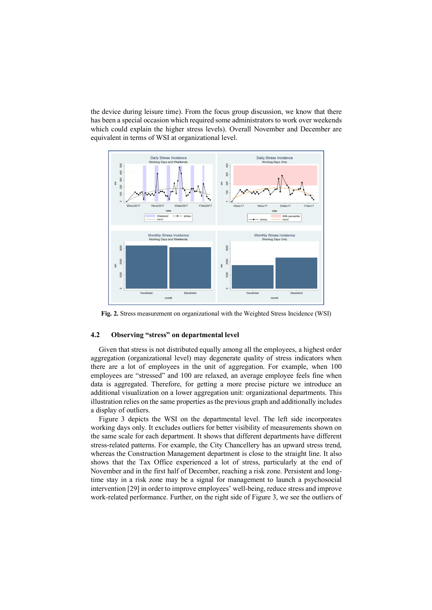the device during leisure time). From the focus group discussion, we know that there has been a special occasion which required some administrators to work over weekends which could explain the higher stress levels). Overall November and December are equivalent in terms of WSI at organizational level.



**Fig. 2.** Stress measurement on organizational with the Weighted Stress Incidence (WSI)

#### **4.2 Observing "stress" on departmental level**

Given that stress is not distributed equally among all the employees, a highest order aggregation (organizational level) may degenerate quality of stress indicators when there are a lot of employees in the unit of aggregation. For example, when 100 employees are "stressed" and 100 are relaxed, an average employee feels fine when data is aggregated. Therefore, for getting a more precise picture we introduce an additional visualization on a lower aggregation unit: organizational departments. This illustration relies on the same properties as the previous graph and additionally includes a display of outliers.

Figure 3 depicts the WSI on the departmental level. The left side incorporates working days only. It excludes outliers for better visibility of measurements shown on the same scale for each department. It shows that different departments have different stress-related patterns. For example, the City Chancellery has an upward stress trend, whereas the Construction Management department is close to the straight line. It also shows that the Tax Office experienced a lot of stress, particularly at the end of November and in the first half of December, reaching a risk zone. Persistent and longtime stay in a risk zone may be a signal for management to launch a psychosocial intervention [29] in order to improve employees' well-being, reduce stress and improve work-related performance. Further, on the right side of Figure 3, we see the outliers of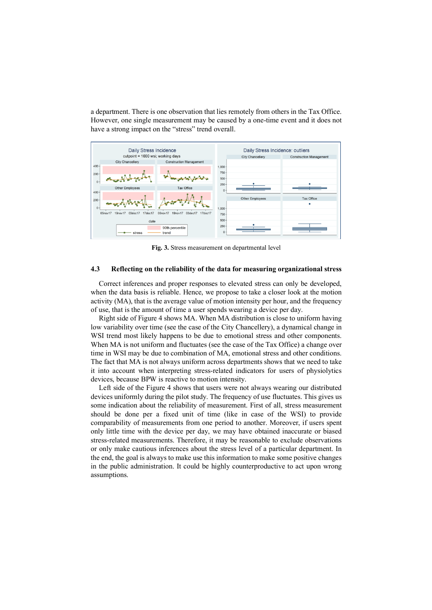a department. There is one observation that lies remotely from others in the Tax Office. However, one single measurement may be caused by a one-time event and it does not have a strong impact on the "stress" trend overall.



**Fig. 3.** Stress measurement on departmental level

#### **4.3 Reflecting on the reliability of the data for measuring organizational stress**

Correct inferences and proper responses to elevated stress can only be developed, when the data basis is reliable. Hence, we propose to take a closer look at the motion activity (MA), that is the average value of motion intensity per hour, and the frequency of use, that is the amount of time a user spends wearing a device per day.

Right side of Figure 4 shows MA. When MA distribution is close to uniform having low variability over time (see the case of the City Chancellery), a dynamical change in WSI trend most likely happens to be due to emotional stress and other components. When MA is not uniform and fluctuates (see the case of the Tax Office) a change over time in WSI may be due to combination of MA, emotional stress and other conditions. The fact that MA is not always uniform across departments shows that we need to take it into account when interpreting stress-related indicators for users of physiolytics devices, because BPW is reactive to motion intensity.

Left side of the Figure 4 shows that users were not always wearing our distributed devices uniformly during the pilot study. The frequency of use fluctuates. This gives us some indication about the reliability of measurement. First of all, stress measurement should be done per a fixed unit of time (like in case of the WSI) to provide comparability of measurements from one period to another. Moreover, if users spent only little time with the device per day, we may have obtained inaccurate or biased stress-related measurements. Therefore, it may be reasonable to exclude observations or only make cautious inferences about the stress level of a particular department. In the end, the goal is always to make use this information to make some positive changes in the public administration. It could be highly counterproductive to act upon wrong assumptions.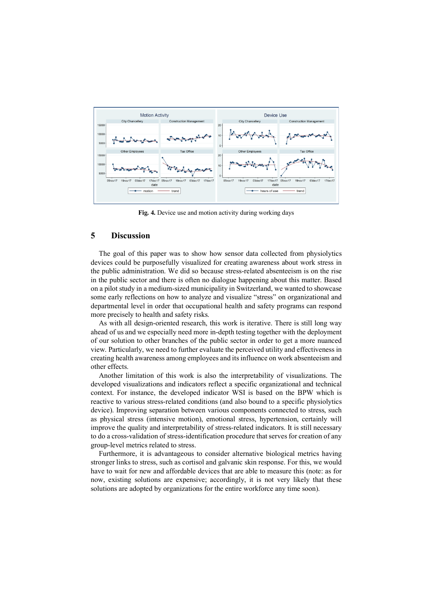

**Fig. 4.** Device use and motion activity during working days

# **5 Discussion**

The goal of this paper was to show how sensor data collected from physiolytics devices could be purposefully visualized for creating awareness about work stress in the public administration. We did so because stress-related absenteeism is on the rise in the public sector and there is often no dialogue happening about this matter. Based on a pilot study in a medium-sized municipality in Switzerland, we wanted to showcase some early reflections on how to analyze and visualize "stress" on organizational and departmental level in order that occupational health and safety programs can respond more precisely to health and safety risks.

As with all design-oriented research, this work is iterative. There is still long way ahead of us and we especially need more in-depth testing together with the deployment of our solution to other branches of the public sector in order to get a more nuanced view. Particularly, we need to further evaluate the perceived utility and effectiveness in creating health awareness among employees and its influence on work absenteeism and other effects.

Another limitation of this work is also the interpretability of visualizations. The developed visualizations and indicators reflect a specific organizational and technical context. For instance, the developed indicator WSI is based on the BPW which is reactive to various stress-related conditions (and also bound to a specific physiolytics device). Improving separation between various components connected to stress, such as physical stress (intensive motion), emotional stress, hypertension, certainly will improve the quality and interpretability of stress-related indicators. It is still necessary to do a cross-validation of stress-identification procedure that serves for creation of any group-level metrics related to stress.

Furthermore, it is advantageous to consider alternative biological metrics having stronger links to stress, such as cortisol and galvanic skin response. For this, we would have to wait for new and affordable devices that are able to measure this (note: as for now, existing solutions are expensive; accordingly, it is not very likely that these solutions are adopted by organizations for the entire workforce any time soon).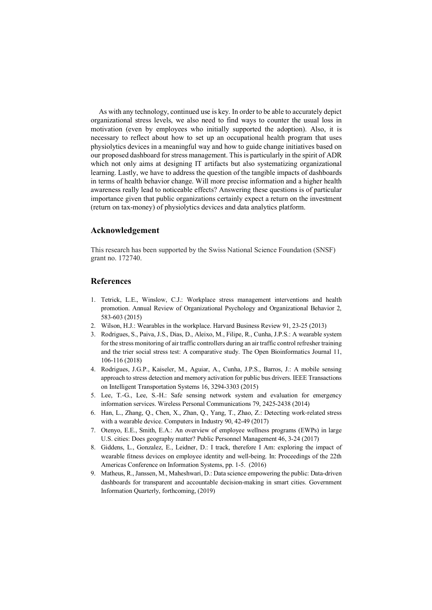As with any technology, continued use is key. In order to be able to accurately depict organizational stress levels, we also need to find ways to counter the usual loss in motivation (even by employees who initially supported the adoption). Also, it is necessary to reflect about how to set up an occupational health program that uses physiolytics devices in a meaningful way and how to guide change initiatives based on our proposed dashboard for stress management. This is particularly in the spirit of ADR which not only aims at designing IT artifacts but also systematizing organizational learning. Lastly, we have to address the question of the tangible impacts of dashboards in terms of health behavior change. Will more precise information and a higher health awareness really lead to noticeable effects? Answering these questions is of particular importance given that public organizations certainly expect a return on the investment (return on tax-money) of physiolytics devices and data analytics platform.

### **Acknowledgement**

This research has been supported by the Swiss National Science Foundation (SNSF) grant no. 172740.

# **References**

- 1. Tetrick, L.E., Winslow, C.J.: Workplace stress management interventions and health promotion. Annual Review of Organizational Psychology and Organizational Behavior 2, 583-603 (2015)
- 2. Wilson, H.J.: Wearables in the workplace. Harvard Business Review 91, 23-25 (2013)
- 3. Rodrigues, S., Paiva, J.S., Dias, D., Aleixo, M., Filipe, R., Cunha, J.P.S.: A wearable system for the stress monitoring of air traffic controllers during an air traffic control refresher training and the trier social stress test: A comparative study. The Open Bioinformatics Journal 11, 106-116 (2018)
- 4. Rodrigues, J.G.P., Kaiseler, M., Aguiar, A., Cunha, J.P.S., Barros, J.: A mobile sensing approach to stress detection and memory activation for public bus drivers. IEEE Transactions on Intelligent Transportation Systems 16, 3294-3303 (2015)
- 5. Lee, T.-G., Lee, S.-H.: Safe sensing network system and evaluation for emergency information services. Wireless Personal Communications 79, 2425-2438 (2014)
- 6. Han, L., Zhang, Q., Chen, X., Zhan, Q., Yang, T., Zhao, Z.: Detecting work-related stress with a wearable device. Computers in Industry 90, 42-49 (2017)
- 7. Otenyo, E.E., Smith, E.A.: An overview of employee wellness programs (EWPs) in large U.S. cities: Does geography matter? Public Personnel Management 46, 3-24 (2017)
- 8. Giddens, L., Gonzalez, E., Leidner, D.: I track, therefore I Am: exploring the impact of wearable fitness devices on employee identity and well-being. In: Proceedings of the 22th Americas Conference on Information Systems, pp. 1-5. (2016)
- 9. Matheus, R., Janssen, M., Maheshwari, D.: Data science empowering the public: Data-driven dashboards for transparent and accountable decision-making in smart cities. Government Information Quarterly, forthcoming, (2019)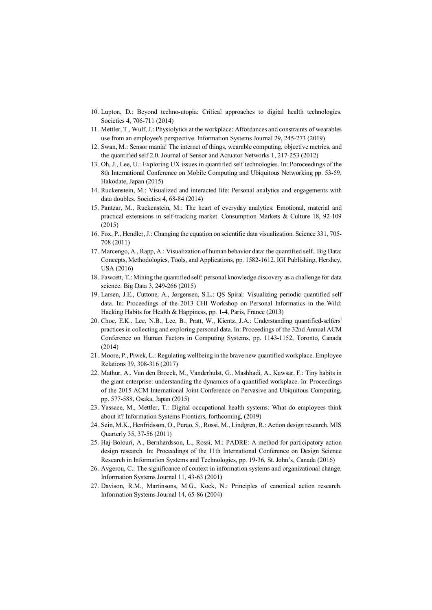- 10. Lupton, D.: Beyond techno-utopia: Critical approaches to digital health technologies. Societies 4, 706-711 (2014)
- 11. Mettler, T., Wulf, J.: Physiolytics at the workplace: Affordances and constraints of wearables use from an employee's perspective. Information Systems Journal 29, 245-273 (2019)
- 12. Swan, M.: Sensor mania! The internet of things, wearable computing, objective metrics, and the quantified self 2.0. Journal of Sensor and Actuator Networks 1, 217-253 (2012)
- 13. Oh, J., Lee, U.: Exploring UX issues in quantified self technologies. In: Poroceedings of the 8th International Conference on Mobile Computing and Ubiquitous Networking pp. 53-59, Hakodate, Japan (2015)
- 14. Ruckenstein, M.: Visualized and interacted life: Personal analytics and engagements with data doubles. Societies 4, 68-84 (2014)
- 15. Pantzar, M., Ruckenstein, M.: The heart of everyday analytics: Emotional, material and practical extensions in self-tracking market. Consumption Markets & Culture 18, 92-109 (2015)
- 16. Fox, P., Hendler, J.: Changing the equation on scientific data visualization. Science 331, 705- 708 (2011)
- 17. Marcengo, A., Rapp, A.: Visualization of human behavior data: the quantified self. Big Data: Concepts, Methodologies, Tools, and Applications, pp. 1582-1612. IGI Publishing, Hershey, USA (2016)
- 18. Fawcett, T.: Mining the quantified self: personal knowledge discovery as a challenge for data science. Big Data 3, 249-266 (2015)
- 19. Larsen, J.E., Cuttone, A., Jørgensen, S.L.: QS Spiral: Visualizing periodic quantified self data. In: Proceedings of the 2013 CHI Workshop on Personal Informatics in the Wild: Hacking Habits for Health & Happiness, pp. 1-4, Paris, France (2013)
- 20. Choe, E.K., Lee, N.B., Lee, B., Pratt, W., Kientz, J.A.: Understanding quantified-selfers' practices in collecting and exploring personal data. In: Proceedings of the 32nd Annual ACM Conference on Human Factors in Computing Systems, pp. 1143-1152, Toronto, Canada (2014)
- 21. Moore, P., Piwek, L.: Regulating wellbeing in the brave new quantified workplace. Employee Relations 39, 308-316 (2017)
- 22. Mathur, A., Van den Broeck, M., Vanderhulst, G., Mashhadi, A., Kawsar, F.: Tiny habits in the giant enterprise: understanding the dynamics of a quantified workplace. In: Proceedings of the 2015 ACM International Joint Conference on Pervasive and Ubiquitous Computing, pp. 577-588, Osaka, Japan (2015)
- 23. Yassaee, M., Mettler, T.: Digital occupational health systems: What do employees think about it? Information Systems Frontiers, forthcoming, (2019)
- 24. Sein, M.K., Henfridsson, O., Purao, S., Rossi, M., Lindgren, R.: Action design research. MIS Quarterly 35, 37-56 (2011)
- 25. Haj-Bolouri, A., Bernhardsson, L., Rossi, M.: PADRE: A method for participatory action design research. In: Proceedings of the 11th International Conference on Design Science Research in Information Systems and Technologies, pp. 19-36, St. John's, Canada (2016)
- 26. Avgerou, C.: The significance of context in information systems and organizational change. Information Systems Journal 11, 43-63 (2001)
- 27. Davison, R.M., Martinsons, M.G., Kock, N.: Principles of canonical action research. Information Systems Journal 14, 65-86 (2004)